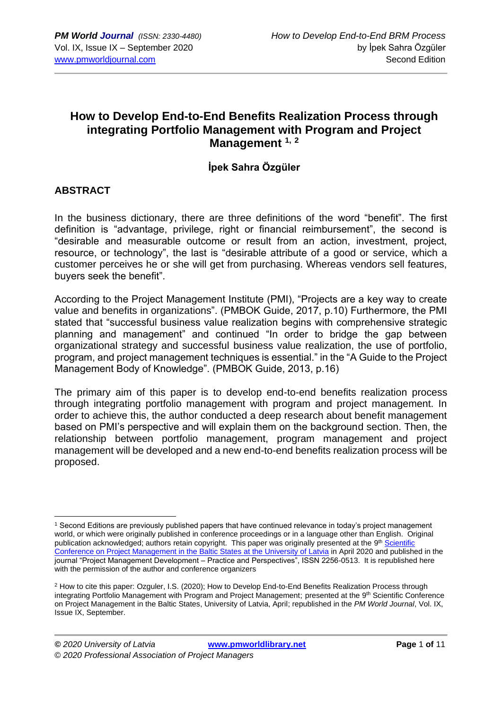## **How to Develop End-to-End Benefits Realization Process through integrating Portfolio Management with Program and Project Management 1, <sup>2</sup>**

### **İpek Sahra Özgüler**

#### **ABSTRACT**

In the business dictionary, there are three definitions of the word "benefit". The first definition is "advantage, privilege, right or financial reimbursement", the second is "desirable and measurable outcome or result from an action, investment, project, resource, or technology", the last is "desirable attribute of a good or service, which a customer perceives he or she will get from purchasing. Whereas vendors sell features, buyers seek the benefit".

According to the Project Management Institute (PMI), "Projects are a key way to create value and benefits in organizations". (PMBOK Guide, 2017, p.10) Furthermore, the PMI stated that "successful business value realization begins with comprehensive strategic planning and management" and continued "In order to bridge the gap between organizational strategy and successful business value realization, the use of portfolio, program, and project management techniques is essential." in the "A Guide to the Project Management Body of Knowledge". (PMBOK Guide, 2013, p.16)

The primary aim of this paper is to develop end-to-end benefits realization process through integrating portfolio management with program and project management. In order to achieve this, the author conducted a deep research about benefit management based on PMI's perspective and will explain them on the background section. Then, the relationship between portfolio management, program management and project management will be developed and a new end-to-end benefits realization process will be proposed.

<sup>1</sup> Second Editions are previously published papers that have continued relevance in today's project management world, or which were originally published in conference proceedings or in a language other than English. Original publication acknowledged; authors retain copyright. This paper was originally presented at the 9<sup>th</sup> Scientific [Conference on Project Management in the Baltic States](https://www.balticpmconference.eu/) at the University of Latvia in April 2020 and published in the journal "Project Management Development – Practice and Perspectives", ISSN 2256-0513. It is republished here with the permission of the author and conference organizers

<sup>&</sup>lt;sup>2</sup> How to cite this paper: Ozguler, I.S. (2020); How to Develop End-to-End Benefits Realization Process through integrating Portfolio Management with Program and Project Management; presented at the 9<sup>th</sup> Scientific Conference on Project Management in the Baltic States, University of Latvia, April; republished in the *PM World Journal*, Vol. IX, Issue IX, September.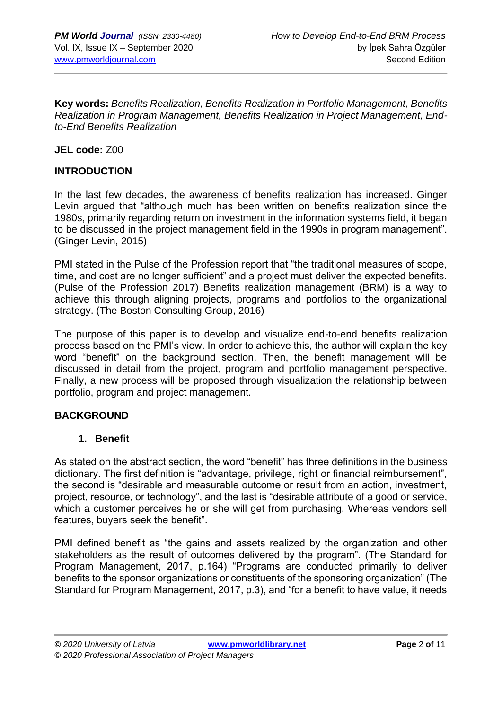**Key words:** *Benefits Realization, Benefits Realization in Portfolio Management, Benefits Realization in Program Management, Benefits Realization in Project Management, Endto-End Benefits Realization* 

**JEL code:** Z00

#### **INTRODUCTION**

In the last few decades, the awareness of benefits realization has increased. Ginger Levin argued that "although much has been written on benefits realization since the 1980s, primarily regarding return on investment in the information systems field, it began to be discussed in the project management field in the 1990s in program management". (Ginger Levin, 2015)

PMI stated in the Pulse of the Profession report that "the traditional measures of scope, time, and cost are no longer sufficient" and a project must deliver the expected benefits. (Pulse of the Profession 2017) Benefits realization management (BRM) is a way to achieve this through aligning projects, programs and portfolios to the organizational strategy. (The Boston Consulting Group, 2016)

The purpose of this paper is to develop and visualize end-to-end benefits realization process based on the PMI's view. In order to achieve this, the author will explain the key word "benefit" on the background section. Then, the benefit management will be discussed in detail from the project, program and portfolio management perspective. Finally, a new process will be proposed through visualization the relationship between portfolio, program and project management.

#### **BACKGROUND**

#### **1. Benefit**

As stated on the abstract section, the word "benefit" has three definitions in the business dictionary. The first definition is "advantage, privilege, right or financial reimbursement", the second is "desirable and measurable outcome or result from an action, investment, project, resource, or technology", and the last is "desirable attribute of a good or service, which a customer perceives he or she will get from purchasing. Whereas vendors sell features, buyers seek the benefit".

PMI defined benefit as "the gains and assets realized by the organization and other stakeholders as the result of outcomes delivered by the program". (The Standard for Program Management, 2017, p.164) "Programs are conducted primarily to deliver benefits to the sponsor organizations or constituents of the sponsoring organization" (The Standard for Program Management, 2017, p.3), and "for a benefit to have value, it needs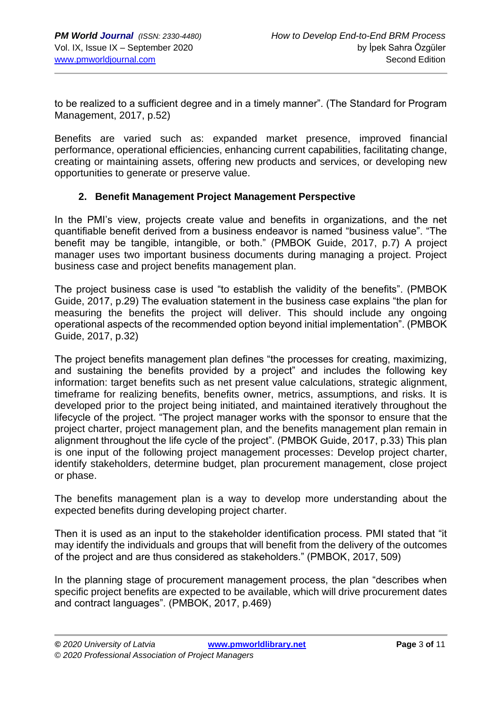to be realized to a sufficient degree and in a timely manner". (The Standard for Program Management, 2017, p.52)

Benefits are varied such as: expanded market presence, improved financial performance, operational efficiencies, enhancing current capabilities, facilitating change, creating or maintaining assets, offering new products and services, or developing new opportunities to generate or preserve value.

#### **2. Benefit Management Project Management Perspective**

In the PMI's view, projects create value and benefits in organizations, and the net quantifiable benefit derived from a business endeavor is named "business value". "The benefit may be tangible, intangible, or both." (PMBOK Guide, 2017, p.7) A project manager uses two important business documents during managing a project. Project business case and project benefits management plan.

The project business case is used "to establish the validity of the benefits". (PMBOK Guide, 2017, p.29) The evaluation statement in the business case explains "the plan for measuring the benefits the project will deliver. This should include any ongoing operational aspects of the recommended option beyond initial implementation". (PMBOK Guide, 2017, p.32)

The project benefits management plan defines "the processes for creating, maximizing, and sustaining the benefits provided by a project" and includes the following key information: target benefits such as net present value calculations, strategic alignment, timeframe for realizing benefits, benefits owner, metrics, assumptions, and risks. It is developed prior to the project being initiated, and maintained iteratively throughout the lifecycle of the project. "The project manager works with the sponsor to ensure that the project charter, project management plan, and the benefits management plan remain in alignment throughout the life cycle of the project". (PMBOK Guide, 2017, p.33) This plan is one input of the following project management processes: Develop project charter, identify stakeholders, determine budget, plan procurement management, close project or phase.

The benefits management plan is a way to develop more understanding about the expected benefits during developing project charter.

Then it is used as an input to the stakeholder identification process. PMI stated that "it may identify the individuals and groups that will benefit from the delivery of the outcomes of the project and are thus considered as stakeholders." (PMBOK, 2017, 509)

In the planning stage of procurement management process, the plan "describes when specific project benefits are expected to be available, which will drive procurement dates and contract languages". (PMBOK, 2017, p.469)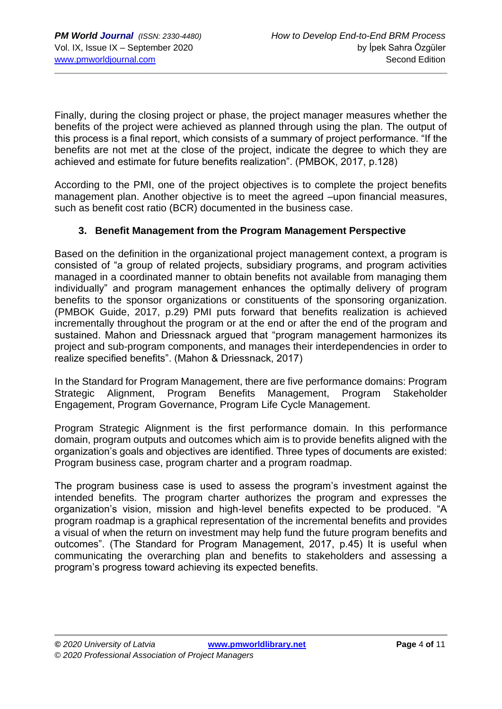Finally, during the closing project or phase, the project manager measures whether the benefits of the project were achieved as planned through using the plan. The output of this process is a final report, which consists of a summary of project performance. "If the benefits are not met at the close of the project, indicate the degree to which they are achieved and estimate for future benefits realization". (PMBOK, 2017, p.128)

According to the PMI, one of the project objectives is to complete the project benefits management plan. Another objective is to meet the agreed –upon financial measures, such as benefit cost ratio (BCR) documented in the business case.

#### **3. Benefit Management from the Program Management Perspective**

Based on the definition in the organizational project management context, a program is consisted of "a group of related projects, subsidiary programs, and program activities managed in a coordinated manner to obtain benefits not available from managing them individually" and program management enhances the optimally delivery of program benefits to the sponsor organizations or constituents of the sponsoring organization. (PMBOK Guide, 2017, p.29) PMI puts forward that benefits realization is achieved incrementally throughout the program or at the end or after the end of the program and sustained. Mahon and Driessnack argued that "program management harmonizes its project and sub-program components, and manages their interdependencies in order to realize specified benefits". (Mahon & Driessnack, 2017)

In the Standard for Program Management, there are five performance domains: Program Strategic Alignment, Program Benefits Management, Program Stakeholder Engagement, Program Governance, Program Life Cycle Management.

Program Strategic Alignment is the first performance domain. In this performance domain, program outputs and outcomes which aim is to provide benefits aligned with the organization's goals and objectives are identified. Three types of documents are existed: Program business case, program charter and a program roadmap.

The program business case is used to assess the program's investment against the intended benefits. The program charter authorizes the program and expresses the organization's vision, mission and high-level benefits expected to be produced. "A program roadmap is a graphical representation of the incremental benefits and provides a visual of when the return on investment may help fund the future program benefits and outcomes". (The Standard for Program Management, 2017, p.45) It is useful when communicating the overarching plan and benefits to stakeholders and assessing a program's progress toward achieving its expected benefits.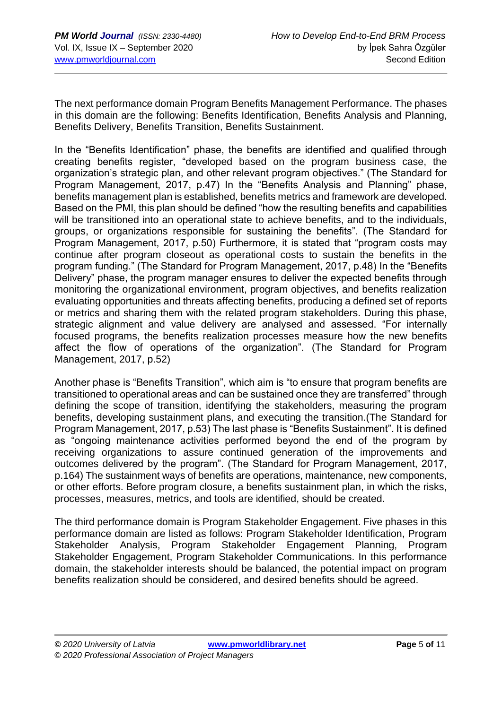The next performance domain Program Benefits Management Performance. The phases in this domain are the following: Benefits Identification, Benefits Analysis and Planning, Benefits Delivery, Benefits Transition, Benefits Sustainment.

In the "Benefits Identification" phase, the benefits are identified and qualified through creating benefits register, "developed based on the program business case, the organization's strategic plan, and other relevant program objectives." (The Standard for Program Management, 2017, p.47) In the "Benefits Analysis and Planning" phase, benefits management plan is established, benefits metrics and framework are developed. Based on the PMI, this plan should be defined "how the resulting benefits and capabilities will be transitioned into an operational state to achieve benefits, and to the individuals, groups, or organizations responsible for sustaining the benefits". (The Standard for Program Management, 2017, p.50) Furthermore, it is stated that "program costs may continue after program closeout as operational costs to sustain the benefits in the program funding." (The Standard for Program Management, 2017, p.48) In the "Benefits Delivery" phase, the program manager ensures to deliver the expected benefits through monitoring the organizational environment, program objectives, and benefits realization evaluating opportunities and threats affecting benefits, producing a defined set of reports or metrics and sharing them with the related program stakeholders. During this phase, strategic alignment and value delivery are analysed and assessed. "For internally focused programs, the benefits realization processes measure how the new benefits affect the flow of operations of the organization". (The Standard for Program Management, 2017, p.52)

Another phase is "Benefits Transition", which aim is "to ensure that program benefits are transitioned to operational areas and can be sustained once they are transferred" through defining the scope of transition, identifying the stakeholders, measuring the program benefits, developing sustainment plans, and executing the transition.(The Standard for Program Management, 2017, p.53) The last phase is "Benefits Sustainment". It is defined as "ongoing maintenance activities performed beyond the end of the program by receiving organizations to assure continued generation of the improvements and outcomes delivered by the program". (The Standard for Program Management, 2017, p.164) The sustainment ways of benefits are operations, maintenance, new components, or other efforts. Before program closure, a benefits sustainment plan, in which the risks, processes, measures, metrics, and tools are identified, should be created.

The third performance domain is Program Stakeholder Engagement. Five phases in this performance domain are listed as follows: Program Stakeholder Identification, Program Stakeholder Analysis, Program Stakeholder Engagement Planning, Program Stakeholder Engagement, Program Stakeholder Communications. In this performance domain, the stakeholder interests should be balanced, the potential impact on program benefits realization should be considered, and desired benefits should be agreed.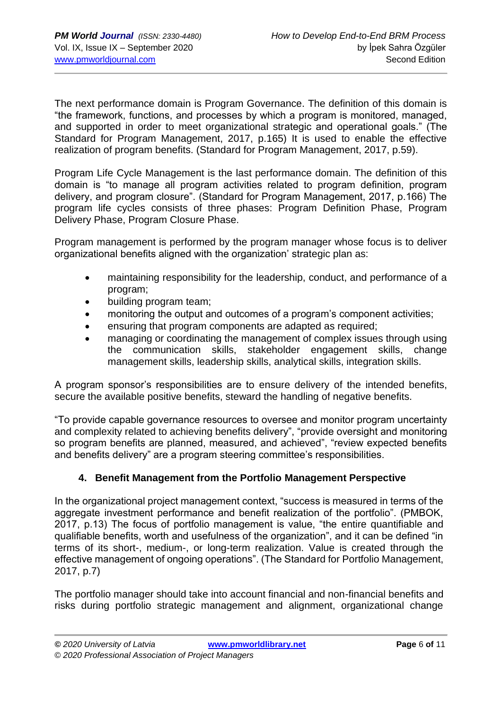The next performance domain is Program Governance. The definition of this domain is "the framework, functions, and processes by which a program is monitored, managed, and supported in order to meet organizational strategic and operational goals." (The Standard for Program Management, 2017, p.165) It is used to enable the effective realization of program benefits. (Standard for Program Management, 2017, p.59).

Program Life Cycle Management is the last performance domain. The definition of this domain is "to manage all program activities related to program definition, program delivery, and program closure". (Standard for Program Management, 2017, p.166) The program life cycles consists of three phases: Program Definition Phase, Program Delivery Phase, Program Closure Phase.

Program management is performed by the program manager whose focus is to deliver organizational benefits aligned with the organization' strategic plan as:

- maintaining responsibility for the leadership, conduct, and performance of a program;
- building program team;
- monitoring the output and outcomes of a program's component activities;
- ensuring that program components are adapted as required;
- managing or coordinating the management of complex issues through using the communication skills, stakeholder engagement skills, change management skills, leadership skills, analytical skills, integration skills.

A program sponsor's responsibilities are to ensure delivery of the intended benefits, secure the available positive benefits, steward the handling of negative benefits.

"To provide capable governance resources to oversee and monitor program uncertainty and complexity related to achieving benefits delivery", "provide oversight and monitoring so program benefits are planned, measured, and achieved", "review expected benefits and benefits delivery" are a program steering committee's responsibilities.

#### **4. Benefit Management from the Portfolio Management Perspective**

In the organizational project management context, "success is measured in terms of the aggregate investment performance and benefit realization of the portfolio". (PMBOK, 2017, p.13) The focus of portfolio management is value, "the entire quantifiable and qualifiable benefits, worth and usefulness of the organization", and it can be defined "in terms of its short-, medium-, or long-term realization. Value is created through the effective management of ongoing operations". (The Standard for Portfolio Management, 2017, p.7)

The portfolio manager should take into account financial and non-financial benefits and risks during portfolio strategic management and alignment, organizational change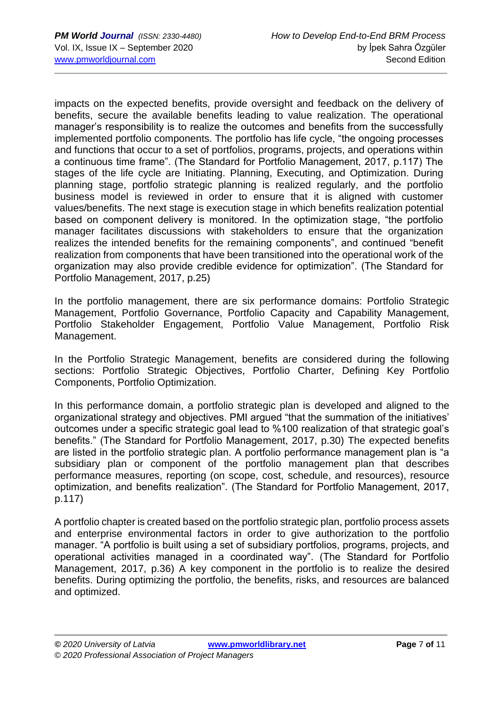impacts on the expected benefits, provide oversight and feedback on the delivery of benefits, secure the available benefits leading to value realization. The operational manager's responsibility is to realize the outcomes and benefits from the successfully implemented portfolio components. The portfolio has life cycle, "the ongoing processes and functions that occur to a set of portfolios, programs, projects, and operations within a continuous time frame". (The Standard for Portfolio Management, 2017, p.117) The stages of the life cycle are Initiating. Planning, Executing, and Optimization. During planning stage, portfolio strategic planning is realized regularly, and the portfolio business model is reviewed in order to ensure that it is aligned with customer values/benefits. The next stage is execution stage in which benefits realization potential based on component delivery is monitored. In the optimization stage, "the portfolio manager facilitates discussions with stakeholders to ensure that the organization realizes the intended benefits for the remaining components", and continued "benefit realization from components that have been transitioned into the operational work of the organization may also provide credible evidence for optimization". (The Standard for Portfolio Management, 2017, p.25)

In the portfolio management, there are six performance domains: Portfolio Strategic Management, Portfolio Governance, Portfolio Capacity and Capability Management, Portfolio Stakeholder Engagement, Portfolio Value Management, Portfolio Risk Management.

In the Portfolio Strategic Management, benefits are considered during the following sections: Portfolio Strategic Objectives, Portfolio Charter, Defining Key Portfolio Components, Portfolio Optimization.

In this performance domain, a portfolio strategic plan is developed and aligned to the organizational strategy and objectives. PMI argued "that the summation of the initiatives' outcomes under a specific strategic goal lead to %100 realization of that strategic goal's benefits." (The Standard for Portfolio Management, 2017, p.30) The expected benefits are listed in the portfolio strategic plan. A portfolio performance management plan is "a subsidiary plan or component of the portfolio management plan that describes performance measures, reporting (on scope, cost, schedule, and resources), resource optimization, and benefits realization". (The Standard for Portfolio Management, 2017, p.117)

A portfolio chapter is created based on the portfolio strategic plan, portfolio process assets and enterprise environmental factors in order to give authorization to the portfolio manager. "A portfolio is built using a set of subsidiary portfolios, programs, projects, and operational activities managed in a coordinated way". (The Standard for Portfolio Management, 2017, p.36) A key component in the portfolio is to realize the desired benefits. During optimizing the portfolio, the benefits, risks, and resources are balanced and optimized.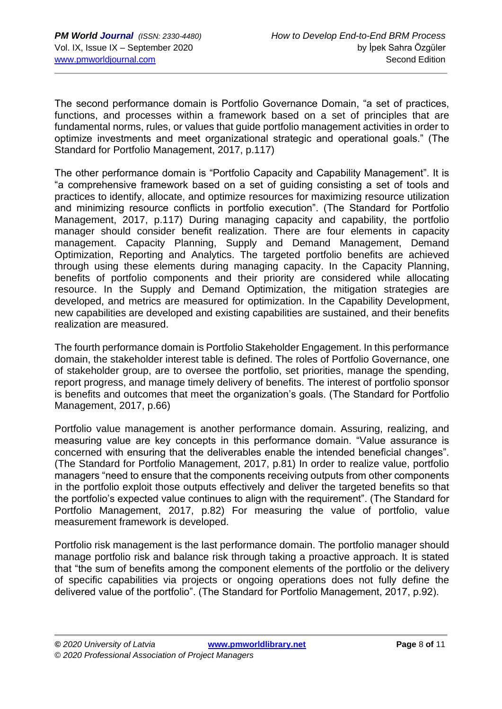The second performance domain is Portfolio Governance Domain, "a set of practices, functions, and processes within a framework based on a set of principles that are fundamental norms, rules, or values that guide portfolio management activities in order to optimize investments and meet organizational strategic and operational goals." (The Standard for Portfolio Management, 2017, p.117)

The other performance domain is "Portfolio Capacity and Capability Management". It is "a comprehensive framework based on a set of guiding consisting a set of tools and practices to identify, allocate, and optimize resources for maximizing resource utilization and minimizing resource conflicts in portfolio execution". (The Standard for Portfolio Management, 2017, p.117) During managing capacity and capability, the portfolio manager should consider benefit realization. There are four elements in capacity management. Capacity Planning, Supply and Demand Management, Demand Optimization, Reporting and Analytics. The targeted portfolio benefits are achieved through using these elements during managing capacity. In the Capacity Planning, benefits of portfolio components and their priority are considered while allocating resource. In the Supply and Demand Optimization, the mitigation strategies are developed, and metrics are measured for optimization. In the Capability Development, new capabilities are developed and existing capabilities are sustained, and their benefits realization are measured.

The fourth performance domain is Portfolio Stakeholder Engagement. In this performance domain, the stakeholder interest table is defined. The roles of Portfolio Governance, one of stakeholder group, are to oversee the portfolio, set priorities, manage the spending, report progress, and manage timely delivery of benefits. The interest of portfolio sponsor is benefits and outcomes that meet the organization's goals. (The Standard for Portfolio Management, 2017, p.66)

Portfolio value management is another performance domain. Assuring, realizing, and measuring value are key concepts in this performance domain. "Value assurance is concerned with ensuring that the deliverables enable the intended beneficial changes". (The Standard for Portfolio Management, 2017, p.81) In order to realize value, portfolio managers "need to ensure that the components receiving outputs from other components in the portfolio exploit those outputs effectively and deliver the targeted benefits so that the portfolio's expected value continues to align with the requirement". (The Standard for Portfolio Management, 2017, p.82) For measuring the value of portfolio, value measurement framework is developed.

Portfolio risk management is the last performance domain. The portfolio manager should manage portfolio risk and balance risk through taking a proactive approach. It is stated that "the sum of benefits among the component elements of the portfolio or the delivery of specific capabilities via projects or ongoing operations does not fully define the delivered value of the portfolio". (The Standard for Portfolio Management, 2017, p.92).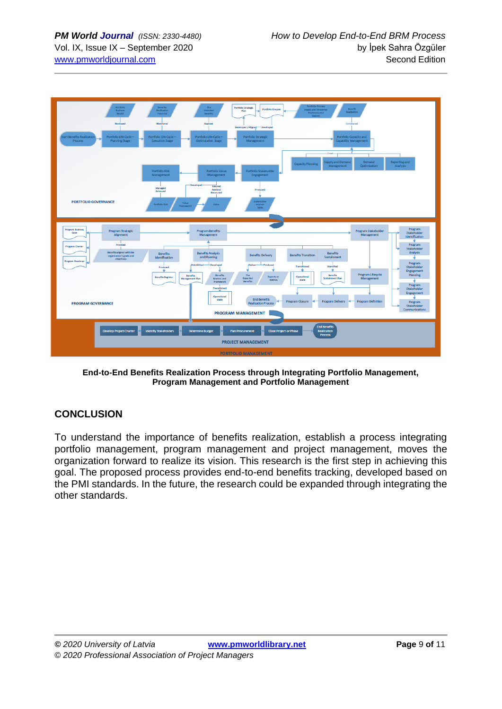

**End-to-End Benefits Realization Process through Integrating Portfolio Management, Program Management and Portfolio Management**

#### **CONCLUSION**

To understand the importance of benefits realization, establish a process integrating portfolio management, program management and project management, moves the organization forward to realize its vision. This research is the first step in achieving this goal. The proposed process provides end-to-end benefits tracking, developed based on the PMI standards. In the future, the research could be expanded through integrating the other standards.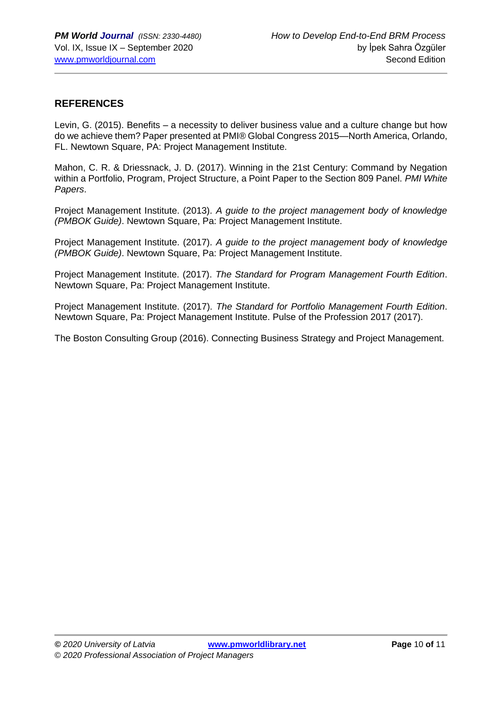#### **REFERENCES**

Levin, G. (2015). Benefits – a necessity to deliver business value and a culture change but how do we achieve them? Paper presented at PMI® Global Congress 2015—North America, Orlando, FL. Newtown Square, PA: Project Management Institute.

Mahon, C. R. & Driessnack, J. D. (2017). Winning in the 21st Century: Command by Negation within a Portfolio, Program, Project Structure, a Point Paper to the Section 809 Panel. *PMI White Papers*.

Project Management Institute. (2013). *A guide to the project management body of knowledge (PMBOK Guide)*. Newtown Square, Pa: Project Management Institute.

Project Management Institute. (2017). *A guide to the project management body of knowledge (PMBOK Guide)*. Newtown Square, Pa: Project Management Institute.

Project Management Institute. (2017). *The Standard for Program Management Fourth Edition*. Newtown Square, Pa: Project Management Institute.

Project Management Institute. (2017). *The Standard for Portfolio Management Fourth Edition*. Newtown Square, Pa: Project Management Institute. Pulse of the Profession 2017 (2017).

The Boston Consulting Group (2016). Connecting Business Strategy and Project Management.